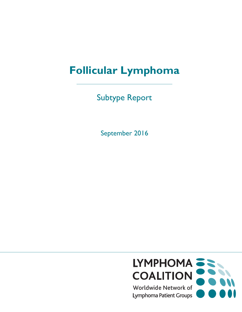# **Follicular Lymphoma**

Subtype Report

September 2016

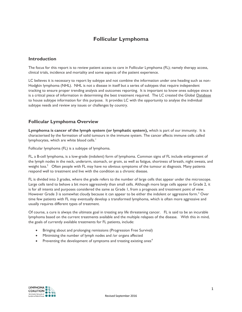# **Follicular Lymphoma**

## **Introduction**

The focus for this report is to review patient access to care in Follicular Lymphoma (FL); namely therapy access, clinical trials, incidence and mortality and some aspects of the patient experience.

LC believes it is necessary to report by subtype and not combine the information under one heading such as non-Hodgkin lymphoma (NHL). NHL is not a disease in itself but a series of subtypes that require independent tracking to ensure proper trending analysis and outcomes reporting. It is important to know ones subtype since it is a critical piece of information in determining the best treatment required. The LC created the Global [Database](http://www.lymphomacoalition.org/lcinfo/?q=) to house subtype information for this purpose. It provides LC with the opportunity to analyse the individual subtype needs and review any issues or challenges by country.

## **Follicular Lymphoma Overview**

**Lymphoma is cancer of the lymph system (or lymphatic system),** which is part of our immunity. It is characterised by the formation of solid tumours in the immune system. The cancer affects immune cells called lymphocytes, which are white blood cells.<sup>1</sup>

Follicular lymphoma (FL) is a subtype of lymphoma.

FL, a B-cell lymphoma, is a low-grade (indolent) form of lymphoma. Common signs of FL include enlargement of the lymph nodes in the neck, underarm, stomach, or groin, as well as fatigue, shortness of breath, night sweats, and weight loss. $2$  Often people with FL may have no obvious symptoms of the tumour at diagnosis. Many patients respond well to treatment and live with the condition as a chronic disease.

FL is divided into 3 grades, where the grade refers to the number of large cells that appear under the microscope. Large cells tend to behave a bit more aggressively than small cells. Although more large cells appear in Grade 2, it is for all intents and purposes considered the same as Grade 1, from a prognosis and treatment point of view. However Grade 3 is somewhat cloudy because it can appear to be either the indolent or aggressive form.<sup>3</sup> Over time few patients with FL may eventually develop a transformed lymphoma, which is often more aggressive and usually requires different types of treatment.

Of course, a cure is always the ultimate goal in treating any life threatening cancer. FL is said to be an incurable lymphoma based on the current treatments available and the multiple relapses of the disease. With this in mind, the goals of currently available treatments for FL patients, include:

- Bringing about and prolonging remissions (Progression Free Survival)
- Minimising the number of lymph nodes and /or organs affected
- **•** Preventing the development of symptoms and treating existing ones<sup>4</sup>

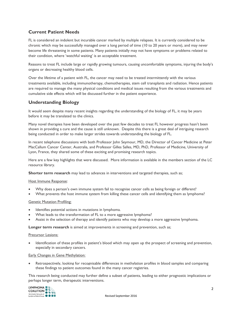# **Current Patient Needs**

FL is considered an indolent but incurable cancer marked by multiple relapses. It is currently considered to be chronic which may be successfully managed over a long period of time (10 to 20 years or more), and may never become life threatening in some patients. Many patients initially may not have symptoms or problems related to their condition, where 'watchful waiting' is an acceptable treatment.

Reasons to treat FL include large or rapidly growing tumours, causing uncomfortable symptoms, injuring the body's organs or decreasing healthy blood cells.

Over the lifetime of a patient with FL, the cancer may need to be treated intermittently with the various treatments available, including immunotherapy, chemotherapies, stem cell transplants and radiation. Hence patients are required to manage the many physical conditions and medical issues resulting from the various treatments and cumulative side effects which will be discussed further in the patient experience.

## **Understanding Biology**

It would seem despite many recent insights regarding the understanding of the biology of FL, it may be years before it may be translated to the clinics.

Many novel therapies have been developed over the past few decades to treat FL however progress hasn't been shown in providing a cure and the cause is still unknown. Despite this there is a great deal of intriguing research being conducted in order to make larger strides towards understanding the biology of FL.

In recent telephone discussions with both Professor John Seymour, MD, the Director of Cancer Medicine at Peter MacCallum Cancer Center, Australia, and Professor Gilles Salles, MD, PhD, Professor of Medicine, University of Lyon, France, they shared some of these exciting and promising research topics.

Here are a few key highlights that were discussed. More information is available in the members section of the LC resource library.

**Shorter term research** may lead to advances in interventions and targeted therapies, such as;

#### Host Immune Response:

- Why does a person's own immune system fail to recognise cancer cells as being foreign or different?
- What prevents the host immune system from killing these cancer cells and identifying them as lymphoma?

#### Genetic Mutation Profiling:

- Identifies potential actions in mutations in lymphoma.
- What leads to the transformation of FL to a more aggressive lymphoma?
- Assist in the selection of therapy and identify patients who may develop a more aggressive lymphoma.

**Longer term research** is aimed at improvements in screening and prevention, such as;

#### Precursor Lesions:

 Identification of these profiles in patient's blood which may open up the prospect of screening and prevention, especially in secondary cancers.

#### Early Changes in [Gene Methylation:](http://www.news-medical.net/life-sciences/What-is-DNA-Methylation.aspx)

 Retrospectively, looking for recognisable differences in methylation profiles in blood samples and comparing these findings to patient outcomes found in the many cancer registries.

This research being conducted may further define a subset of patients, leading to either prognostic implications or perhaps longer term, therapeutic interventions.

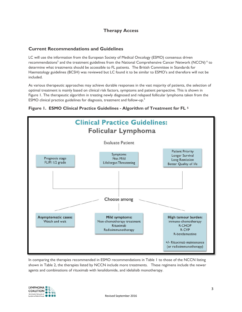# **Therapy Access**

## **Current Recommendations and Guidelines**

LC will use the information from the European Society of Medical Oncology (ESMO) consensus driven recommendations<sup>5</sup> and the treatment guidelines from the National Comprehensive Cancer Network (NCCN) <sup>6</sup> to determine what treatments should be accessible to FL patients. The British Committee in Standards for Haematology guidelines (BCSH) was reviewed but LC found it to be similar to ESMO's and therefore will not be included.

As various therapeutic approaches may achieve durable responses in the vast majority of patients, the selection of optimal treatment is mainly based on clinical risk factors, symptoms and patient perspective. This is shown in Figure 1. The therapeutic algorithm in treating newly diagnosed and relapsed follicular lymphoma taken from the ESMO clinical practice guidelines for diagnosis, treatment and follow-up.<sup>5</sup>



#### **Figure 1. ESMO Clinical Practice Guidelines - Algorithm of Treatment for FL <sup>5</sup>**

In comparing the therapies recommended in ESMO recommendations in Table 1 to those of the NCCN listing shown in Table 2, the therapies listed by NCCN include more treatments. These regimens include the newer agents and combinations of rituximab with lenalidomide, and idelalisib monotherapy.

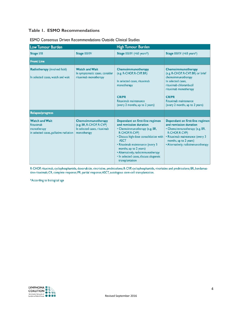## **Table 1. ESMO Recommendations**

| <b>Low Tumour Burden</b>                                                                     |                                                                                               | <b>High Tumour Burden</b>                                                                                                                                                                                                                                                                                                                |                                                                                                                                                                                                                                    |
|----------------------------------------------------------------------------------------------|-----------------------------------------------------------------------------------------------|------------------------------------------------------------------------------------------------------------------------------------------------------------------------------------------------------------------------------------------------------------------------------------------------------------------------------------------|------------------------------------------------------------------------------------------------------------------------------------------------------------------------------------------------------------------------------------|
| <b>Stage I/II</b>                                                                            | <b>Stage III/IV</b>                                                                           | Stage III/IV $(<65$ years <sup>*</sup> )                                                                                                                                                                                                                                                                                                 | Stage III/IV (<65 years*)                                                                                                                                                                                                          |
| <b>Front Line</b>                                                                            |                                                                                               |                                                                                                                                                                                                                                                                                                                                          |                                                                                                                                                                                                                                    |
| Radiotherapy (involved field)<br>In selected cases, watch and wait                           | <b>Watch and Wait</b><br>In symptomatic cases, consider<br>rituximab monotherapy              | Chemoimmunotherapy<br>(e.g. R-CHOP, R-CVP, BR)<br>In selected cases, rituximab<br>monotherapy<br><b>CR/PR</b><br>Rituximab maintenance<br>(every 2 months, up to 2 years)                                                                                                                                                                | Chemoimmunotherapy<br>(e.g. R-CHOP, R-CVP, BR) or brief<br>chemoimmunotherapy<br>In selected cases,<br>rituximab-chlorambucil<br>rituximab monotherapy<br><b>CR/PR</b><br>Rituximab maintenance<br>(every 2 months, up to 2 years) |
| <b>Relapse/progress</b>                                                                      |                                                                                               |                                                                                                                                                                                                                                                                                                                                          |                                                                                                                                                                                                                                    |
| <b>Watch and Wait</b><br>Rituximab<br>monotherapy<br>in selected cases, palliative radiation | Chemoimmunotherapy<br>(e.g. BR, R-CHOP, R-CVP)<br>In selected cases, rituximab<br>monotherapy | Dependant on first-line regimen<br>and remission duration<br>• Chemoimmunotherapy (e.g. BR,<br>R-CHOP, R-CVP)<br>· Discuss high-dose consolidation with<br><b>ASCT</b><br>• Rituximab maintenance (every 3<br>months, up to 2 years)<br>• Alternatively, radioimmunotherapy<br>· In selected cases, discuss alogeneic<br>transplantation | Dependant on first-line regimen<br>and remission duration<br>• Chemoimmunotherapy (e.g. BR,<br>R-CHOP, R-CVP)<br>• Rituximab maintenance (every 3<br>months, up to 2 years)<br>• Alternatively, radioimmunotherapy                 |

#### ESMO Consensus Driven Recommendations Outside Clinical Studies

R-CHOP, rituximab, cyclophosphamide, doxorubicin, vincristine, prednisolone; R-CVP, cyclophosphamide, vincristine and prednisolone; BR, bendamustine-rituximab; CR, complete response; PR, partial response; ASCT, autologous stem-cell transplantation.

\*According to biological age

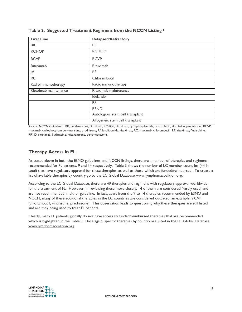| <b>First Line</b>     | <b>Relapsed/Refractory</b>      |
|-----------------------|---------------------------------|
| <b>BR</b>             | <b>BR</b>                       |
| <b>RCHOP</b>          | <b>RCHOP</b>                    |
| <b>RCVP</b>           | <b>RCVP</b>                     |
| Rituximab             | Rituximab                       |
| $R^2$                 | $R^2$                           |
| RC                    | Chlorambucil                    |
| Radioimmunotherapy    | Radioimmunotherapy              |
| Rituximab maintenance | Rituximab maintenance           |
|                       | Idelalisib                      |
|                       | <b>RF</b>                       |
|                       | <b>RFND</b>                     |
|                       | Autologous stem cell transplant |
|                       | Allogeneic stem cell transplant |

#### **Table 2. Suggested Treatment Regimens from the NCCN Listing <sup>6</sup>**

Source: NCCN Guidelines BR, bendamustine, rituximab; RCHOP, rituximab, cyclophosphamide, doxorubicin, vincristine, prednisone; RCVP, rituximab, cyclophosphamide, vincristine, prednisone;  $R^2$ , lenalidomide, rituximab; RC, rituximab, chlorambucil; RF, rituximab, fludarabine; RFND, rituximab, fludarabine, mitoxantrone, dexamethasone.

## **Therapy Access in FL**

As stated above in both the ESMO guidelines and NCCN listings, there are a number of therapies and regimens recommended for FL patients, 9 and 14 respectively. Table 3 shows the number of LC member countries (44 in total) that have regulatory approval for these therapies, as well as those which are funded/reimbursed. To create a list of available therapies by country go to the LC Global Database [www.lymphomacoalition.org.](http://www.lymphomacoalition.org/)

According to the LC Global Database, there are 49 therapies and regimens with regulatory approval worldwide for the treatment of FL. However, in reviewing these more closely, 14 of them are considered ['rarely used'](http://www.lymphomacoalition.org/images/Therapy_List.pdf) and are not recommended in either guideline. In fact, apart from the 9 to 14 therapies recommended by ESMO and NCCN, many of these additional therapies in the LC countries are considered outdated; an example is CVP (chlorambucil, vincristine, prednisone). This observation leads to questioning why these therapies are still listed and are they being used to treat FL patients.

Clearly, many FL patients globally do not have access to funded/reimbursed therapies that are recommended which is highlighted in the Table 3. Once again, specific therapies by country are listed in the LC Global Database. [www.lymphomacoalition.org.](http://www.lymphomacoalition.org/)

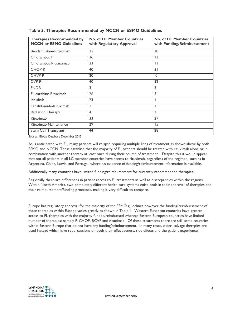| <b>Therapies Recommended by</b><br><b>NCCN or ESMO Guidelines</b> | <b>No. of LC Member Countries</b><br>with Regulatory Approval | <b>No. of LC Member Countries</b><br>with Funding/Reimbursement |
|-------------------------------------------------------------------|---------------------------------------------------------------|-----------------------------------------------------------------|
| Bendamustine-Rituximab                                            | $\overline{25}$                                               | $\overline{10}$                                                 |
| Chlorambucil                                                      | 36                                                            | 13                                                              |
| Chlorambucil-Rituximab                                            | 33                                                            | $\mathbf{1}$                                                    |
| <b>CHOP-R</b>                                                     | 40                                                            | 31                                                              |
| CHVP-R                                                            | 20                                                            | $\mathbf{0}$                                                    |
| CVP-R                                                             | 40                                                            | 32                                                              |
| <b>FNDR</b>                                                       | 3                                                             | 3                                                               |
| Fludarabine-Rituximab                                             | 26                                                            | 5                                                               |
| <b>Idelalisib</b>                                                 | 23                                                            | $\overline{4}$                                                  |
| Lenalidomide-Rituximab                                            |                                                               |                                                                 |
| Radiation Therapy                                                 | $\overline{4}$                                                | 3                                                               |
| Rituximab                                                         | 33                                                            | 27                                                              |
| Rituximab Maintenance                                             | 29                                                            | $\overline{5}$                                                  |
| Stem Cell Transplant                                              | 44                                                            | 28                                                              |

#### **Table 3. Therapies Recommended by NCCN or ESMO Guidelines**

Source: Global Database December 2015

As is anticipated with FL, many patients will relapse requiring multiple lines of treatment as shown above by both ESMO and NCCN. These establish that the majority of FL patients should be treated with rituximab alone or in combination with another therapy at least once during their course of treatment. Despite this it would appear that not all patients in all LC member countries have access to rituximab, regardless of the regimen; such as in Argentina, China, Latvia, and Portugal, where no evidence of funding/reimbursement information is available.

Additionally many countries have limited funding/reimbursement for currently recommended therapies.

Regionally there are differences in patient access to FL treatments as well as discrepancies within the regions. Within North America, two completely different health care systems exist, both in their approval of therapies and their reimbursement/funding processes, making it very difficult to compare.

Europe has regulatory approval for the majority of the ESMO guidelines however the funding/reimbursement of these therapies within Europe varies greatly as shown in Table 4. Western European countries have greater access to FL therapies with the majority funded/reimbursed whereas Eastern European countries have limited number of therapies; namely R-CHOP, RCVP and rituximab. Of these treatments there are still some countries within Eastern Europe that do not have any funding/reimbursement. In many cases, older, salvage therapies are used instead which have repercussions on both their effectiveness, side effects and the patient experience.

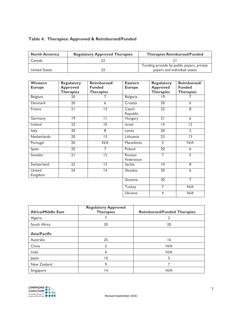# **Table 4. Therapies: Approved & Reimbursed/Funded**

| <b>North America</b> | <b>Regulatory Approved Therapies</b> | <b>Therapies Reimbursed/Funded</b>        |
|----------------------|--------------------------------------|-------------------------------------------|
| Canada               |                                      |                                           |
|                      |                                      | Funding provide by public payers, private |
| <b>United States</b> |                                      | payers and individual states              |

| Western            | <b>Regulatory</b> | Reimbursed/      | <b>Eastern</b>    | <b>Regulatory</b> | Reimbursed/      |
|--------------------|-------------------|------------------|-------------------|-------------------|------------------|
| <b>Europe</b>      | <b>Approved</b>   | <b>Funded</b>    | <b>Europe</b>     | <b>Approved</b>   | <b>Funded</b>    |
|                    | <b>Therapies</b>  | <b>Therapies</b> |                   | <b>Therapies</b>  | <b>Therapies</b> |
| Belgium            | 20                | 7                | <b>Bulgaria</b>   | 19                |                  |
| Denmark            | 20                | 6                | Croatia           | 20                | 6                |
| France             | $\overline{21}$   | $\overline{13}$  | Czech             | $\overline{22}$   | 8                |
|                    |                   |                  | Republic          |                   |                  |
| Germany            | $\overline{19}$   | $\mathsf{I}$     | Hungary           | $\overline{21}$   | 6                |
| <b>Ireland</b>     | $\overline{22}$   | $\overline{10}$  | <b>Israel</b>     | 4                 | $\overline{12}$  |
| <b>Italy</b>       | $\overline{20}$   | $\overline{8}$   | Latvia            | $\overline{20}$   | $\overline{2}$   |
| <b>Netherlands</b> | $\overline{20}$   | $\overline{13}$  | Lithuania         | $\overline{23}$   | $\overline{13}$  |
| Portugal           | 20                | N/A              | Macedonia         | 3                 | N/A              |
| Spain              | $\overline{20}$   | $\overline{7}$   | Poland            | $\overline{20}$   | 6                |
| Sweden             | $\overline{21}$   | $\overline{12}$  | Russian           | 7                 | 5                |
|                    |                   |                  | <b>Federation</b> |                   |                  |
| Switzerland        | 22                | 13               | Serbia            | $\overline{10}$   | 8                |
| United             | 24                | 4                | Slovakia          | 20                | 6                |
| Kingdom            |                   |                  |                   |                   |                  |
|                    |                   |                  | Slovenia          | $\overline{20}$   | 7                |
|                    |                   |                  | Turkey            | 7                 | N/A              |
|                    |                   |                  | Ukraine           | 4                 | N/A              |

|                           | <b>Regulatory Approved</b> |                                    |
|---------------------------|----------------------------|------------------------------------|
| <b>Africa/Middle East</b> | <b>Therapies</b>           | <b>Reimbursed/Funded Therapies</b> |
| Algeria                   |                            |                                    |
| South Africa              | 20                         | 20                                 |
| <b>Asia/Pacific</b>       |                            |                                    |
| Australia                 | 25                         | 16                                 |
| China                     | 5                          | N/A                                |
| India                     | 6                          | N/A                                |
| Japan                     | $\overline{10}$            | 5                                  |
| New Zealand               | 9                          |                                    |
| Singapore                 | $\overline{4}$             | N/A                                |

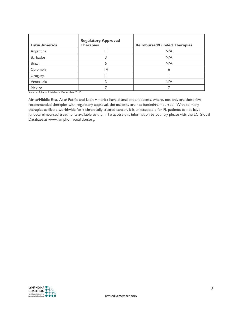| <b>Latin America</b> | <b>Regulatory Approved</b><br><b>Therapies</b> | <b>Reimbursed/Funded Therapies</b> |
|----------------------|------------------------------------------------|------------------------------------|
| Argentina            |                                                | N/A                                |
| <b>Barbados</b>      |                                                | N/A                                |
| <b>Brazil</b>        |                                                | N/A                                |
| Colombia             | $\overline{14}$                                |                                    |
| Uruguay              |                                                |                                    |
| Venezuela            |                                                | N/A                                |
| Mexico               |                                                |                                    |

Source: Global Database December 2015

Africa/Middle East, Asia/ Pacific and Latin America have dismal patient access, where, not only are there few recommended therapies with regulatory approval, the majority are not funded/reimbursed. With so many therapies available worldwide for a chronically treated cancer, it is unacceptable for FL patients to not have funded/reimbursed treatments available to them. To access this information by country please visit the LC Global Database at [www.lymphomacoalition.org.](http://www.lymphomacoalition.org/)

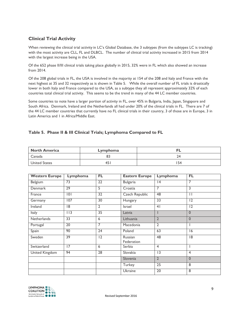# **Clinical Trial Activity**

When reviewing the clinical trial activity in LC's Global Database, the 3 subtypes (from the subtypes LC is tracking) with the most activity are CLL, FL and DLBCL. The number of clinical trial activity increased in 2015 from 2014 with the largest increase being in the USA.

Of the 652 phase II/III clinical trials taking place globally in 2015, 32% were in FL which also showed an increase from 2014.

Of the 208 global trials in FL, the USA is involved in the majority at 154 of the 208 and Italy and France with the next highest at 35 and 32 respectively as is shown in Table 5. While the overall number of FL trials is drastically lower in both Italy and France compared to the USA, as a subtype they all represent approximately 32% of each countries total clinical trial activity. This seems to be the trend in many of the 44 LC member countries.

Some countries to note have a larger portion of activity in FL, over 45% in Bulgaria, India, Japan, Singapore and South Africa. Denmark, Ireland and the Netherlands all had under 20% of the clinical trials in FL. There are 7 of the 44 LC member countries that currently have no FL clinical trials in their country, 3 of those are in Europe, 3 in Latin America and 1 in Africa/Middle East.

## **Table 5. Phase II & III Clinical Trials; Lymphoma Compared to FL**

| North America | Lymphoma |    |
|---------------|----------|----|
| Canada        | oJ       | 24 |
| United States | 45       | 54 |

| <b>Western Europe</b> | Lymphoma        | <b>FL</b>       | <b>Eastern Europe</b> | Lymphoma        | FL.            |
|-----------------------|-----------------|-----------------|-----------------------|-----------------|----------------|
| Belgium               | 73              | $\overline{22}$ | <b>Bulgaria</b>       | 4               | 7              |
| <b>Denmark</b>        | 29              | 5               | Croatia               | 7               | 3              |
| France                | 0               | 32              | <b>Czech Republic</b> | 48              | Ш              |
| Germany               | 107             | 30              | Hungary               | $\overline{33}$ | 12             |
| Ireland               | 18              | $\overline{2}$  | Israel                | 4 <sub>1</sub>  | 12             |
| Italy                 | 113             | 35              | Latvia                |                 | $\Omega$       |
| <b>Netherlands</b>    | $\overline{33}$ | 6               | Lithuania             | $\overline{2}$  | $\mathbf{0}$   |
| Portugal              | $\overline{20}$ | 7               | Macedonia             | $\overline{2}$  |                |
| Spain                 | 90              | 24              | Poland                | 63              | 16             |
| Sweden                | 39              | $\overline{12}$ | Russian<br>Federation | 48              | 18             |
| Switzerland           | 17              | 6               | Serbia                | $\overline{4}$  |                |
| <b>United Kingdom</b> | 94              | $\overline{28}$ | Slovakia              | $\overline{13}$ | $\overline{4}$ |
|                       |                 |                 | Slovenia              | $\overline{2}$  | $\mathbf{0}$   |
|                       |                 |                 | Turkey                | $\overline{25}$ | 8              |
|                       |                 |                 | Ukraine               | $\overline{20}$ | 8              |

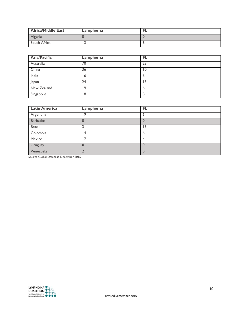| <b>Africa/Middle East</b> | Lymphoma |  |
|---------------------------|----------|--|
| Algeria                   |          |  |
| South Africa              |          |  |

| <b>Asia/Pacific</b> | Lymphoma | FL |
|---------------------|----------|----|
| Australia           | 70       | 23 |
| China               | 36       | 10 |
| India               | 16       | b  |
| Japan               | 24       | 13 |
| New Zealand         | 19       | 6  |
| Singapore           | 18       | -8 |

| <b>Latin America</b> | Lymphoma | FL       |
|----------------------|----------|----------|
| Argentina            | 19       | 6        |
| <b>Barbados</b>      |          |          |
| <b>Brazil</b>        | 31       | ۱3       |
| Colombia             | 14       | 6        |
| Mexico               | 17       | 4        |
| Uruguay              |          | 0        |
| Venezuela            |          | $\Omega$ |

Source Global Database December 2015

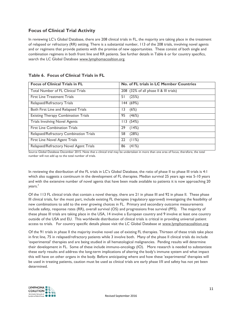## **Focus of Clinical Trial Activity**

In reviewing LC's Global Database, there are 208 clinical trials in FL, the majority are taking place in the treatment of relapsed or refractory (RR) setting. There is a substantial number, 113 of the 208 trials, involving novel agents and or regimens that provide patients with the promise of new opportunities. These consist of both single and combination regimens in both front line and RR patients. See further details in Table 6 or for country specifics, search the LC Global Database [www.lymphomacoaltion.org.](http://www.lymphomacoaltion.org/)

| <b>Focus of Clinical Trials in FL</b>      | No. of FL trials in LC Member Countries |
|--------------------------------------------|-----------------------------------------|
| <b>Total Number of FL Clinical Trials</b>  | 208 (32% of all phase II & III trials)  |
| <b>First Line Treatment Trials</b>         | (25%)<br>51                             |
| Relapsed/Refractory Trials                 | (69%)<br>144                            |
| Both First Line and Relapsed Trials        | (6%)<br>ı 3                             |
| <b>Existing Therapy Combination Trials</b> | 95<br>(46%)                             |
| <b>Trials Involving Novel Agents</b>       | 113(54%)                                |
| <b>First Line Combination Trials</b>       | (14%)<br>29                             |
| Relapsed/Refractory Combination Trials     | (28%)<br>58                             |
| First Line Novel Agent Trials              | (11%)<br>22                             |
| Relapsed/Refractory Novel Agent Trials     | (41%)<br>86                             |

#### **Table 6. Focus of Clinical Trials in FL**

Source Global Database December 2015. Note that a clinical trial may be undertaken in more than one area of focus, therefore, the total number will not add up to the total number of trials.

In reviewing the distribution of the FL trials in LC's Global Database, the ratio of phase II to phase III trials is 4:1 which also suggests a continuum in the development of FL therapies. Median survival 25 years ago was 5-10 years and with the extensive number of novel agents that have been made available to patients it is now approaching 20 years.<sup>7</sup>

Of the 113 FL clinical trials that contain a novel therapy, there are 21 in phase III and 92 in phase II. These phase III clinical trials, for the most part, include existing FL therapies (regulatory approved) investigating the feasibility of new combinations to add to the ever growing choices in FL. Primary and secondary outcome measurements include safety, response rates (RR), overall survival (OS) and progressions free survival (PFS). The majority of these phase III trials are taking place in the USA, 14 involve a European country and 9 involve at least one country outside of the USA and EU. This worldwide distribution of clinical trials is critical in providing universal patient access to trials. For country specific details please visit the LC Global Database at [www.lymphomacoalition.org.](http://www.lymphomacoalition.org/)

Of the 91 trials in phase II the majority involve novel use of existing FL therapies. Thirteen of these trials take place in first line, 75 in relapsed/refractory patients while 3 involve both. Many of the phase II clinical trials do include 'experimental' therapies and are being studied in all hematological malignancies. Pending results will determine their development in FL. Some of these include immuno-oncology (IO). More research is needed to substantiate these early results and address the long-term implications of altering the body's immune system and what impact this will have on other organs in the body. Before anticipating where and how these 'experimental' therapies will be used in treating patients, caution must be used as clinical trials are early phase I/II and safety has not yet been determined.

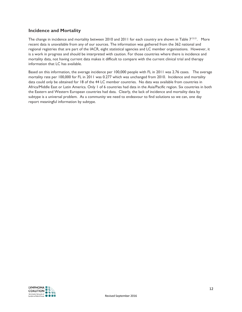## **Incidence and Mortality**

The change in incidence and mortality between 2010 and 2011 for each country are shown in Table  $7^{12-21}$ . More recent data is unavailable from any of our sources. The information was gathered from the 362 national and regional registries that are part of the IACR, eight statistical agencies and LC member organisations. However, it is a work in progress and should be interpreted with caution. For those countries where there is incidence and mortality data, not having current data makes it difficult to compare with the current clinical trial and therapy information that LC has available.

Based on this information, the average incidence per 100,000 people with FL in 2011 was 2.76 cases. The average mortality rate per 100,000 for FL in 2011 was 0.277 which was unchanged from 2010. Incidence and mortality data could only be obtained for 18 of the 44 LC member countries. No data was available from countries in Africa/Middle East or Latin America. Only 1 of 6 countries had data in the Asia/Pacific region. Six countries in both the Eastern and Western European countries had data. Clearly, the lack of incidence and mortality data by subtype is a universal problem. As a community we need to endeavour to find solutions so we can, one day report meaningful information by subtype.

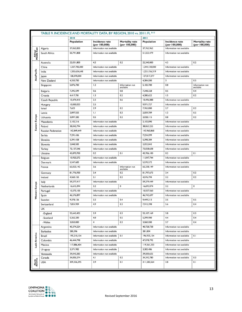|                        | TABLE 9. INCIDENCE AND MORTALITY DATA, BY REGION, 2010 vs. 2011: FL 8-15 |                    |                                            |                                         |                           |                                            |                              |  |
|------------------------|--------------------------------------------------------------------------|--------------------|--------------------------------------------|-----------------------------------------|---------------------------|--------------------------------------------|------------------------------|--|
|                        |                                                                          | 2010<br>Population | Incidence rate                             | <b>Mortality rate</b>                   | 2011<br><b>Population</b> | <b>Incidence rate</b>                      | <b>Mortality rate</b>        |  |
|                        | Algeria                                                                  | 37,062,820         | (per 100,000)<br>Information not available | (per 100,000)                           | 37,762,962                | (per 100,000)<br>Information not available | (per 100,000)                |  |
| Africa/<br>Middle East | South Africa                                                             | 50,791,808         | Information not available                  |                                         | 51,553,479                | Information not available                  |                              |  |
|                        | Australia                                                                | 22,031,800         | 4.5                                        | 0.2                                     | 22,340,000                | 4.3                                        | 0.2                          |  |
|                        | China                                                                    | 1,337,705,000      | Information not available                  |                                         | 1,344,130,000             | Information not available                  |                              |  |
| <b>Asia/Pacific</b>    | India                                                                    | 1,205,624,648      | Information not available                  |                                         | 1,221,156,319             | Information not available                  |                              |  |
|                        | Japan                                                                    | 128,070,000        | Information not available                  |                                         | 127,817,277               | Information not available                  |                              |  |
|                        | New Zealand                                                              | 4,350,700          | Information not available                  |                                         | 4,384,000                 | 0.5<br>3                                   |                              |  |
|                        | Singapore                                                                | 5,076,700          | 1.2                                        | Information not<br>available            | 5, 183, 700               | 0.8                                        | Information not<br>available |  |
|                        | <b>Bulgaria</b>                                                          | 7,395,599          | 0.6                                        | 0.8                                     | 7,348,328                 | 0.5                                        | 0.4                          |  |
|                        | Croatia                                                                  | 4,417,781          | 1.3                                        | 0.2                                     | 4,280,622                 | 1.5                                        | 0.2                          |  |
|                        | <b>Czech Republic</b>                                                    | 10,474,410         | 2.2                                        | 0.6                                     | 10,496,088                | Information not available                  |                              |  |
|                        | Hungary                                                                  | 10,000,023         | 2.5                                        |                                         | 9,971,727                 | Information not available                  |                              |  |
|                        | Israel                                                                   | 7,623              | 2.9                                        | 0.2                                     | 7,765,800                 | 2.7                                        | 0.2                          |  |
|                        | Latvia                                                                   | 2,097,555          | 1.1                                        | 0.3                                     | 2,059,709                 | 1.3                                        | 0.5                          |  |
| Eastern Europe         | Lithuania                                                                | 3,097,282          | 0.5                                        | 0.2                                     | 3,028,115                 | 0.8                                        | 0.2                          |  |
|                        | Macedonia                                                                | 2,102,216          | Information not available                  |                                         | 2,103,890                 | Information not available                  |                              |  |
|                        | Poland                                                                   | 38,042,794         | Information not available                  |                                         | 38,063,255                | Information not available                  |                              |  |
|                        | <b>Russian Federation</b>                                                | 142,849,449        | Information not available                  |                                         | 142,960,868               | Information not available                  |                              |  |
|                        | Serbia                                                                   | 7,291,436          | Information not available                  |                                         | 7,234,099                 | Information not available                  |                              |  |
|                        | Slovakia                                                                 | 5,391,428          | Information not available                  |                                         | 5,398,384                 | Information not available                  |                              |  |
|                        | Slovenia                                                                 | 2,048,583          | Information not available                  |                                         | 2,052,843                 | Information not available                  |                              |  |
|                        | Turkey                                                                   | 72,137,546         | Information not available                  |                                         | 73,058,638                | Information not available                  |                              |  |
|                        | Ukraine                                                                  | 45,870,700         | 0.2                                        | 0.1                                     | 45,706,100                | 0.2                                        | 0.1                          |  |
|                        | Belgium                                                                  | 10,920,272         | Information not available                  |                                         | 11,047,744                | Information not available                  |                              |  |
|                        | Denmark                                                                  | 5,547,683          | Information not available                  |                                         | 5,570,572                 | Information not available                  |                              |  |
|                        | France                                                                   | 65,023,142         | 3.6                                        | Information not<br>available            | 65,338,149                | Information not available                  |                              |  |
|                        | Germany                                                                  | 81,776,930         | 3.4                                        | 0.2                                     | 81,797,673                | 3.4                                        | 0.2                          |  |
|                        | Ireland                                                                  | 4,560,155          | 3.1                                        | 0.2                                     | 4,576,794                 | 3.2<br>0.2                                 |                              |  |
|                        | Italy                                                                    | 59,277,417         | Information not available                  | 59,379,449<br>Information not available |                           |                                            |                              |  |
|                        | Netherlands                                                              | 16,615,394         | 3.2                                        | 0                                       | 16,693,074                | 3.2                                        | $\mathbf 0$                  |  |
| Western Europe         | Portugal                                                                 | 10,573,100         | Information not available                  |                                         | 10,557,560                | Information not available                  |                              |  |
|                        | Spain                                                                    | 46,576,897         | Information not available                  |                                         | 46,742,697                | Information not available                  |                              |  |
|                        | Sweden                                                                   | 9,378,126          | 3.2                                        | 0.4                                     | 9,449,213                 | 3.5                                        | 0.5                          |  |
|                        | Switzerland                                                              | 7,824,909          | 4.9                                        | 0.3                                     | 7,912,398                 | 5.6                                        | 0.4                          |  |
|                        | UK                                                                       |                    |                                            |                                         |                           |                                            |                              |  |
|                        | -England                                                                 | 52,642,452         | 3.9                                        | 0.3                                     | 53, 107, 169              | 3.8                                        | 0.3                          |  |
|                        | -Scotland                                                                | 5,262,200          | 4.0                                        | 0.5                                     | 5,299,900                 | 4.4                                        | 0.4                          |  |
|                        | -Wales                                                                   | 3,050,000          | $\overline{4}$                             | 0.3                                     | 3,060,000                 | 3.7                                        | 0.4                          |  |
|                        | Argentina                                                                | 40,374,224         | Information not available                  |                                         | 40,728,738                | Information not available                  |                              |  |
|                        | <b>Barbados</b>                                                          | 280,396            | Information not available                  |                                         | 281,804                   | Information not available                  |                              |  |
| Latin America          | <b>Brazil</b>                                                            | 195,210,154        | Information not available                  | 0.1                                     | 196,935,134               | Information not available                  | 0.1                          |  |
|                        | Colombia                                                                 | 46,444,798         | Information not available                  |                                         | 47,078,792                | Information not available                  |                              |  |
|                        | Mexico                                                                   | 117,886,404        | Information not available                  |                                         | 119,361,233               | Information not available                  |                              |  |
|                        | Uruguay                                                                  | 3,371,982          | Information not available                  |                                         | 3,383,486                 | Information not available                  |                              |  |
|                        | Venezuela                                                                | 29,043,283         | Information not available                  |                                         | 29,500,625                | Information not available                  |                              |  |
|                        | Canada                                                                   | 34,005,274         | 4.1                                        | 0.2                                     | 34, 342, 780              | Information not available                  | 0.3                          |  |
| North<br>America       | <b>USA</b>                                                               | 309,326,295        | 3.9                                        | 0.1                                     | 311,582,564               | 3.8                                        | 0.1                          |  |

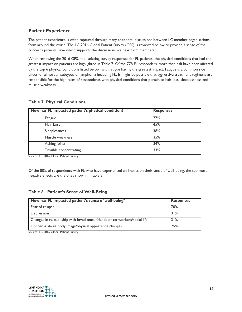## **Patient Experience**

The patient experience is often captured through many anecdotal discussions between LC member organisations from around the world. The LC 2016 Global Patient Survey (GPS) is reviewed below to provide a sense of the concerns patients have which supports the discussions we hear from members.

When reviewing the 2016 GPS, and isolating survey responses for FL patients, the physical conditions that had the greatest impact on patients are highlighted in Table 7. Of the 778 FL responders, more than half have been affected by the top 6 physical conditions listed below, with fatigue having the greatest impact. Fatigue is a common side effect for almost all subtypes of lymphoma including FL. It might be possible that aggressive treatment regimens are responsible for the high rates of respondents with physical conditions that pertain to hair loss, sleeplessness and muscle weakness.

|  | <b>Table 7. Physical Conditions</b> |  |
|--|-------------------------------------|--|
|  |                                     |  |

| How has FL impacted patient's physical condition? | <b>Responses</b> |
|---------------------------------------------------|------------------|
| Fatigue                                           | 77%              |
| Hair Loss                                         | 45%              |
| Sleeplessness                                     | 38%              |
| Muscle weakness                                   | 35%              |
| Aching joints                                     | 34%              |
| Trouble concentrating                             | 33%              |

Source: LC 2016 Global Patient Survey

Of the 80% of respondents with FL who have experienced an impact on their sense of well-being, the top most negative effects are the ones shown in Table 8.

## **Table 8. Patient's Sense of Well-Being**

| How has FL impacted patient's sense of well-being?                         | <b>Responses</b> |
|----------------------------------------------------------------------------|------------------|
| Fear of relapse                                                            | 70%              |
| Depression                                                                 | 31%              |
| Changes in relationship with loved ones, friends or co-workers/social life | 31%              |
| Concerns about body image/physical appearance changes                      | 25%              |

Source: LC 2016 Global Patient Survey

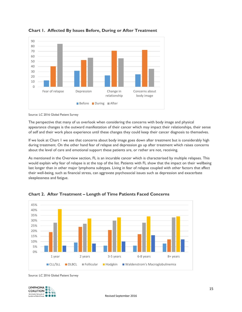

**Chart 1. Affected By Issues Before, During or After Treatment** 

Source: LC 2016 Global Patient Survey

The perspective that many of us overlook when considering the concerns with body image and physical appearance changes is the outward manifestation of their cancer which may impact their relationships, their sense of self and their work place experience until these changes they could keep their cancer diagnosis to themselves.

If we look at Chart 1 we see that concerns about body image goes down after treatment but is considerably high during treatment. On the other hand fear of relapse and depression go up after treatment which raises concerns about the level of care and emotional support these patients are, or rather are not, receiving.

As mentioned in the Overview section, FL is an incurable cancer which is characterised by multiple relapses. This would explain why fear of relapse is at the top of the list. Patients with FL show that the impact on their wellbeing last longer than in other major lymphoma subtypes. Living in fear of relapse coupled with other factors that affect their well-being, such as financial stress, can aggravate psychosocial issues such as depression and exacerbate sleeplessness and fatigue.



**Chart 2. After Treatment – Length of Time Patients Faced Concerns**

Source: LC 2016 Global Patient Survey

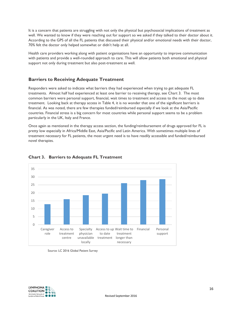It is a concern that patients are struggling with not only the physical but psychosocial implications of treatment as well. We wanted to know if they were reaching out for support so we asked if they talked to their doctor about it. According to the GPS of all the FL patients that discussed their physical and/or emotional needs with their doctor, 70% felt the doctor only helped somewhat or didn't help at all.

Health care providers working along with patient organisations have an opportunity to improve communication with patients and provide a well-rounded approach to care. This will allow patients both emotional and physical support not only during treatment but also post-treatment as well.

## **Barriers to Receiving Adequate Treatment**

Responders were asked to indicate what barriers they had experienced when trying to get adequate FL treatments. Almost half had experienced at least one barrier to receiving therapy, see Chart 3. The most common barriers were personal support, financial, wait times to treatment and access to the most up to date treatment. Looking back at therapy access in Table 4, it is no wonder that one of the significant barriers is financial. As was noted, there are few therapies funded/reimbursed especially if we look at the Asia/Pacific countries. Financial stress is a big concern for most countries while personal support seems to be a problem particularly in the UK, Italy and France.

Once again as mentioned in the therapy access section, the funding/reimbursement of drugs approved for FL is pretty low especially in Africa/Middle East, Asia/Pacific and Latin America. With sometimes multiple lines of treatment necessary for FL patients, the most urgent need is to have readily accessible and funded/reimbursed novel therapies.



## **Chart 3. Barriers to Adequate FL Treatment**

#### Source: LC 2016 Global Patient Survey

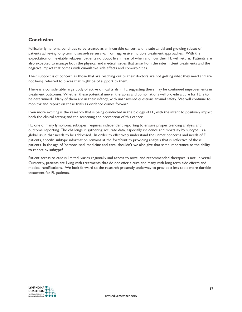# **Conclusion**

Follicular lymphoma continues to be treated as an incurable cancer, with a substantial and growing subset of patients achieving long-term disease-free survival from aggressive multiple treatment approaches. With the expectation of inevitable relapses, patients no doubt live in fear of when and how their FL will return. Patients are also expected to manage both the physical and medical issues that arise from the intermittent treatments and the negative impact that comes with cumulative side effects and comorbidities.

Their support is of concern as those that are reaching out to their doctors are not getting what they need and are not being referred to places that might be of support to them.

There is a considerable large body of active clinical trials in FL suggesting there may be continued improvements in treatment outcomes. Whether these potential newer therapies and combinations will provide a cure for FL is to be determined. Many of them are in their infancy, with unanswered questions around safety. We will continue to monitor and report on these trials as evidence comes forward.

Even more exciting is the research that is being conducted in the biology of FL, with the intent to positively impact both the clinical setting and the screening and prevention of this cancer.

FL, one of many lymphoma subtypes, requires independent reporting to ensure proper trending analysis and outcome reporting. The challenge in gathering accurate data, especially incidence and mortality by subtype, is a global issue that needs to be addressed. In order to effectively understand the unmet concerns and needs of FL patients, specific subtype information remains at the forefront to providing analysis that is reflective of those patients. In the age of 'personalised' medicine and care, shouldn't we also give that same importance to the ability to report by subtype?

Patient access to care is limited, varies regionally and access to novel and recommended therapies is not universal. Currently, patients are living with treatments that do not offer a cure and many with long term side effects and medical ramifications. We look forward to the research presently underway to provide a less toxic more durable treatment for FL patients.